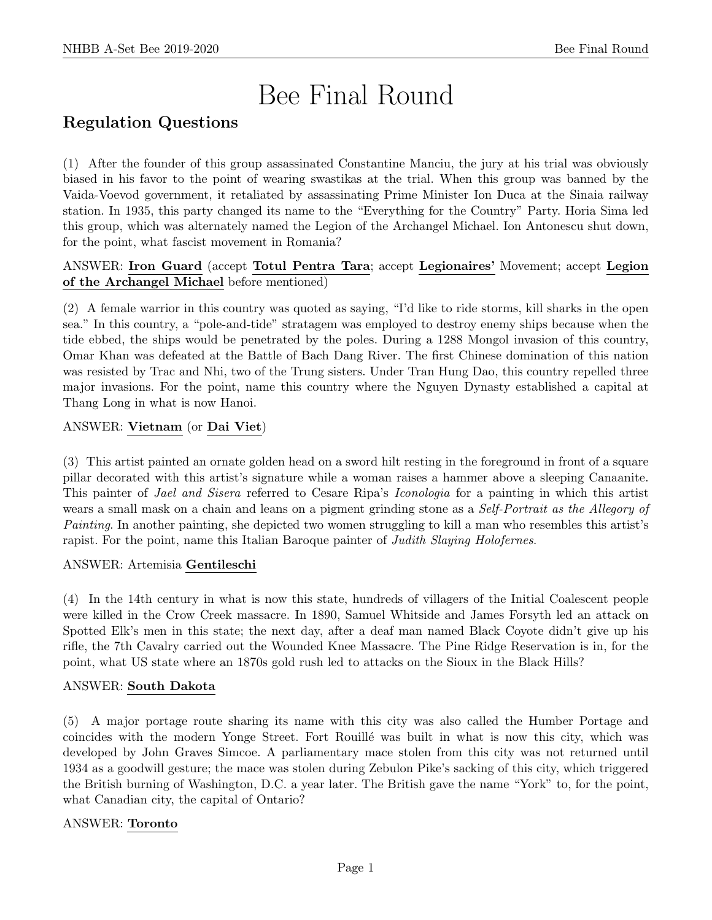# Bee Final Round

# Regulation Questions

(1) After the founder of this group assassinated Constantine Manciu, the jury at his trial was obviously biased in his favor to the point of wearing swastikas at the trial. When this group was banned by the Vaida-Voevod government, it retaliated by assassinating Prime Minister Ion Duca at the Sinaia railway station. In 1935, this party changed its name to the "Everything for the Country" Party. Horia Sima led this group, which was alternately named the Legion of the Archangel Michael. Ion Antonescu shut down, for the point, what fascist movement in Romania?

# ANSWER: Iron Guard (accept Totul Pentra Tara; accept Legionaires' Movement; accept Legion of the Archangel Michael before mentioned)

(2) A female warrior in this country was quoted as saying, "I'd like to ride storms, kill sharks in the open sea." In this country, a "pole-and-tide" stratagem was employed to destroy enemy ships because when the tide ebbed, the ships would be penetrated by the poles. During a 1288 Mongol invasion of this country, Omar Khan was defeated at the Battle of Bach Dang River. The first Chinese domination of this nation was resisted by Trac and Nhi, two of the Trung sisters. Under Tran Hung Dao, this country repelled three major invasions. For the point, name this country where the Nguyen Dynasty established a capital at Thang Long in what is now Hanoi.

# ANSWER: Vietnam (or Dai Viet)

(3) This artist painted an ornate golden head on a sword hilt resting in the foreground in front of a square pillar decorated with this artist's signature while a woman raises a hammer above a sleeping Canaanite. This painter of Jael and Sisera referred to Cesare Ripa's Iconologia for a painting in which this artist wears a small mask on a chain and leans on a pigment grinding stone as a *Self-Portrait as the Allegory of* Painting. In another painting, she depicted two women struggling to kill a man who resembles this artist's rapist. For the point, name this Italian Baroque painter of *Judith Slaying Holofernes*.

# ANSWER: Artemisia Gentileschi

(4) In the 14th century in what is now this state, hundreds of villagers of the Initial Coalescent people were killed in the Crow Creek massacre. In 1890, Samuel Whitside and James Forsyth led an attack on Spotted Elk's men in this state; the next day, after a deaf man named Black Coyote didn't give up his rifle, the 7th Cavalry carried out the Wounded Knee Massacre. The Pine Ridge Reservation is in, for the point, what US state where an 1870s gold rush led to attacks on the Sioux in the Black Hills?

#### ANSWER: South Dakota

(5) A major portage route sharing its name with this city was also called the Humber Portage and coincides with the modern Yonge Street. Fort Rouill´e was built in what is now this city, which was developed by John Graves Simcoe. A parliamentary mace stolen from this city was not returned until 1934 as a goodwill gesture; the mace was stolen during Zebulon Pike's sacking of this city, which triggered the British burning of Washington, D.C. a year later. The British gave the name "York" to, for the point, what Canadian city, the capital of Ontario?

# ANSWER: Toronto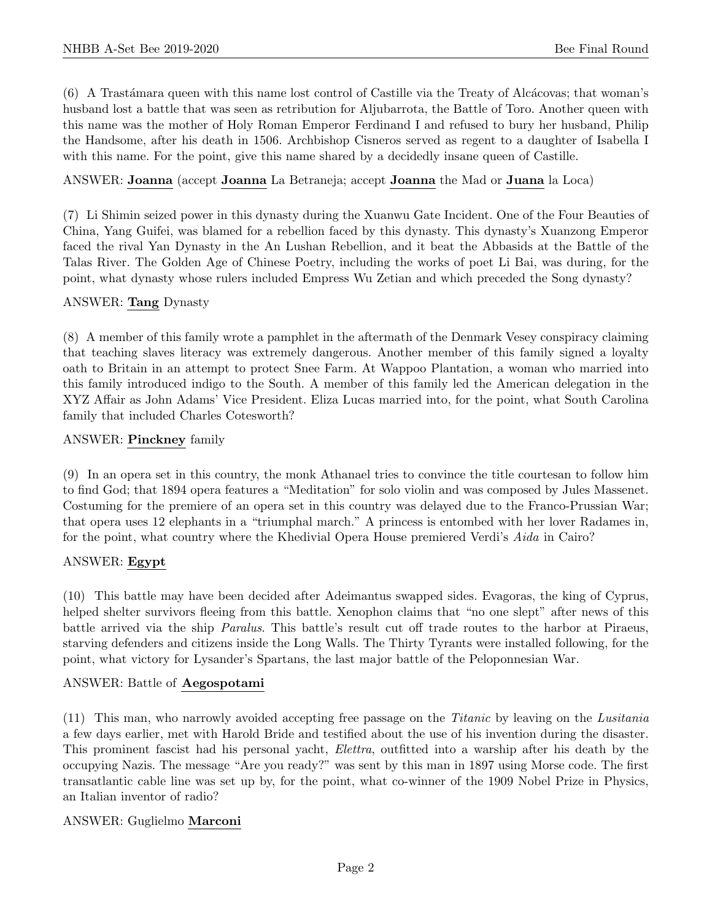$(6)$  A Trastámara queen with this name lost control of Castille via the Treaty of Alcácovas; that woman's husband lost a battle that was seen as retribution for Aljubarrota, the Battle of Toro. Another queen with this name was the mother of Holy Roman Emperor Ferdinand I and refused to bury her husband, Philip the Handsome, after his death in 1506. Archbishop Cisneros served as regent to a daughter of Isabella I with this name. For the point, give this name shared by a decidedly insane queen of Castille.

# ANSWER: Joanna (accept Joanna La Betraneja; accept Joanna the Mad or Juana la Loca)

(7) Li Shimin seized power in this dynasty during the Xuanwu Gate Incident. One of the Four Beauties of China, Yang Guifei, was blamed for a rebellion faced by this dynasty. This dynasty's Xuanzong Emperor faced the rival Yan Dynasty in the An Lushan Rebellion, and it beat the Abbasids at the Battle of the Talas River. The Golden Age of Chinese Poetry, including the works of poet Li Bai, was during, for the point, what dynasty whose rulers included Empress Wu Zetian and which preceded the Song dynasty?

# ANSWER: Tang Dynasty

(8) A member of this family wrote a pamphlet in the aftermath of the Denmark Vesey conspiracy claiming that teaching slaves literacy was extremely dangerous. Another member of this family signed a loyalty oath to Britain in an attempt to protect Snee Farm. At Wappoo Plantation, a woman who married into this family introduced indigo to the South. A member of this family led the American delegation in the XYZ Affair as John Adams' Vice President. Eliza Lucas married into, for the point, what South Carolina family that included Charles Cotesworth?

# ANSWER: Pinckney family

(9) In an opera set in this country, the monk Athanael tries to convince the title courtesan to follow him to find God; that 1894 opera features a "Meditation" for solo violin and was composed by Jules Massenet. Costuming for the premiere of an opera set in this country was delayed due to the Franco-Prussian War; that opera uses 12 elephants in a "triumphal march." A princess is entombed with her lover Radames in, for the point, what country where the Khedivial Opera House premiered Verdi's Aida in Cairo?

# ANSWER: Egypt

(10) This battle may have been decided after Adeimantus swapped sides. Evagoras, the king of Cyprus, helped shelter survivors fleeing from this battle. Xenophon claims that "no one slept" after news of this battle arrived via the ship Paralus. This battle's result cut off trade routes to the harbor at Piraeus, starving defenders and citizens inside the Long Walls. The Thirty Tyrants were installed following, for the point, what victory for Lysander's Spartans, the last major battle of the Peloponnesian War.

#### ANSWER: Battle of Aegospotami

(11) This man, who narrowly avoided accepting free passage on the Titanic by leaving on the Lusitania a few days earlier, met with Harold Bride and testified about the use of his invention during the disaster. This prominent fascist had his personal yacht, Elettra, outfitted into a warship after his death by the occupying Nazis. The message "Are you ready?" was sent by this man in 1897 using Morse code. The first transatlantic cable line was set up by, for the point, what co-winner of the 1909 Nobel Prize in Physics, an Italian inventor of radio?

# ANSWER: Guglielmo Marconi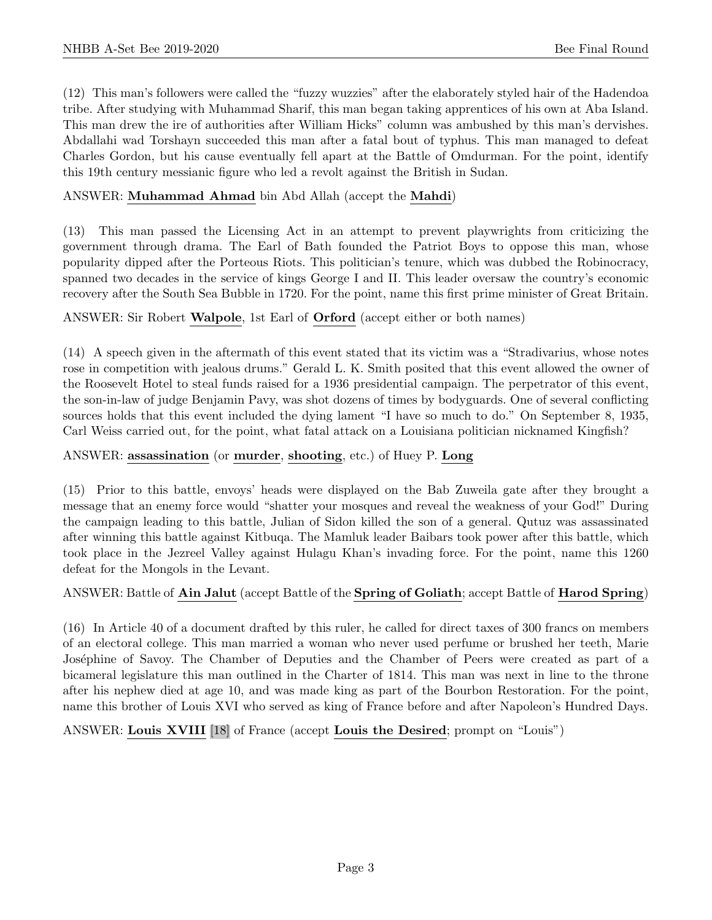(12) This man's followers were called the "fuzzy wuzzies" after the elaborately styled hair of the Hadendoa tribe. After studying with Muhammad Sharif, this man began taking apprentices of his own at Aba Island. This man drew the ire of authorities after William Hicks" column was ambushed by this man's dervishes. Abdallahi wad Torshayn succeeded this man after a fatal bout of typhus. This man managed to defeat Charles Gordon, but his cause eventually fell apart at the Battle of Omdurman. For the point, identify this 19th century messianic figure who led a revolt against the British in Sudan.

# ANSWER: Muhammad Ahmad bin Abd Allah (accept the Mahdi)

(13) This man passed the Licensing Act in an attempt to prevent playwrights from criticizing the government through drama. The Earl of Bath founded the Patriot Boys to oppose this man, whose popularity dipped after the Porteous Riots. This politician's tenure, which was dubbed the Robinocracy, spanned two decades in the service of kings George I and II. This leader oversaw the country's economic recovery after the South Sea Bubble in 1720. For the point, name this first prime minister of Great Britain.

# ANSWER: Sir Robert Walpole, 1st Earl of Orford (accept either or both names)

(14) A speech given in the aftermath of this event stated that its victim was a "Stradivarius, whose notes rose in competition with jealous drums." Gerald L. K. Smith posited that this event allowed the owner of the Roosevelt Hotel to steal funds raised for a 1936 presidential campaign. The perpetrator of this event, the son-in-law of judge Benjamin Pavy, was shot dozens of times by bodyguards. One of several conflicting sources holds that this event included the dying lament "I have so much to do." On September 8, 1935, Carl Weiss carried out, for the point, what fatal attack on a Louisiana politician nicknamed Kingfish?

# ANSWER: assassination (or murder, shooting, etc.) of Huey P. Long

(15) Prior to this battle, envoys' heads were displayed on the Bab Zuweila gate after they brought a message that an enemy force would "shatter your mosques and reveal the weakness of your God!" During the campaign leading to this battle, Julian of Sidon killed the son of a general. Qutuz was assassinated after winning this battle against Kitbuqa. The Mamluk leader Baibars took power after this battle, which took place in the Jezreel Valley against Hulagu Khan's invading force. For the point, name this 1260 defeat for the Mongols in the Levant.

#### ANSWER: Battle of Ain Jalut (accept Battle of the Spring of Goliath; accept Battle of Harod Spring)

(16) In Article 40 of a document drafted by this ruler, he called for direct taxes of 300 francs on members of an electoral college. This man married a woman who never used perfume or brushed her teeth, Marie Joséphine of Savoy. The Chamber of Deputies and the Chamber of Peers were created as part of a bicameral legislature this man outlined in the Charter of 1814. This man was next in line to the throne after his nephew died at age 10, and was made king as part of the Bourbon Restoration. For the point, name this brother of Louis XVI who served as king of France before and after Napoleon's Hundred Days.

ANSWER: Louis XVIII [18] of France (accept Louis the Desired; prompt on "Louis")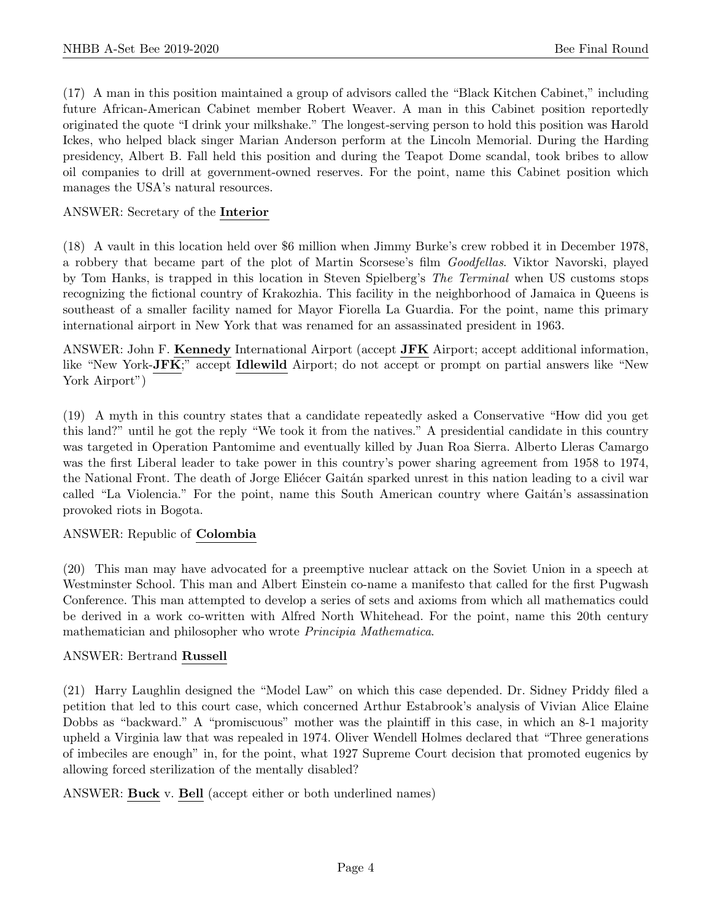(17) A man in this position maintained a group of advisors called the "Black Kitchen Cabinet," including future African-American Cabinet member Robert Weaver. A man in this Cabinet position reportedly originated the quote "I drink your milkshake." The longest-serving person to hold this position was Harold Ickes, who helped black singer Marian Anderson perform at the Lincoln Memorial. During the Harding presidency, Albert B. Fall held this position and during the Teapot Dome scandal, took bribes to allow oil companies to drill at government-owned reserves. For the point, name this Cabinet position which manages the USA's natural resources.

# ANSWER: Secretary of the Interior

(18) A vault in this location held over \$6 million when Jimmy Burke's crew robbed it in December 1978, a robbery that became part of the plot of Martin Scorsese's film Goodfellas. Viktor Navorski, played by Tom Hanks, is trapped in this location in Steven Spielberg's The Terminal when US customs stops recognizing the fictional country of Krakozhia. This facility in the neighborhood of Jamaica in Queens is southeast of a smaller facility named for Mayor Fiorella La Guardia. For the point, name this primary international airport in New York that was renamed for an assassinated president in 1963.

ANSWER: John F. Kennedy International Airport (accept JFK Airport; accept additional information, like "New York-JFK;" accept Idlewild Airport; do not accept or prompt on partial answers like "New York Airport")

(19) A myth in this country states that a candidate repeatedly asked a Conservative "How did you get this land?" until he got the reply "We took it from the natives." A presidential candidate in this country was targeted in Operation Pantomime and eventually killed by Juan Roa Sierra. Alberto Lleras Camargo was the first Liberal leader to take power in this country's power sharing agreement from 1958 to 1974, the National Front. The death of Jorge Eliécer Gaitán sparked unrest in this nation leading to a civil war called "La Violencia." For the point, name this South American country where Gaitán's assassination provoked riots in Bogota.

#### ANSWER: Republic of Colombia

(20) This man may have advocated for a preemptive nuclear attack on the Soviet Union in a speech at Westminster School. This man and Albert Einstein co-name a manifesto that called for the first Pugwash Conference. This man attempted to develop a series of sets and axioms from which all mathematics could be derived in a work co-written with Alfred North Whitehead. For the point, name this 20th century mathematician and philosopher who wrote Principia Mathematica.

#### ANSWER: Bertrand Russell

(21) Harry Laughlin designed the "Model Law" on which this case depended. Dr. Sidney Priddy filed a petition that led to this court case, which concerned Arthur Estabrook's analysis of Vivian Alice Elaine Dobbs as "backward." A "promiscuous" mother was the plaintiff in this case, in which an 8-1 majority upheld a Virginia law that was repealed in 1974. Oliver Wendell Holmes declared that "Three generations of imbeciles are enough" in, for the point, what 1927 Supreme Court decision that promoted eugenics by allowing forced sterilization of the mentally disabled?

ANSWER: Buck v. Bell (accept either or both underlined names)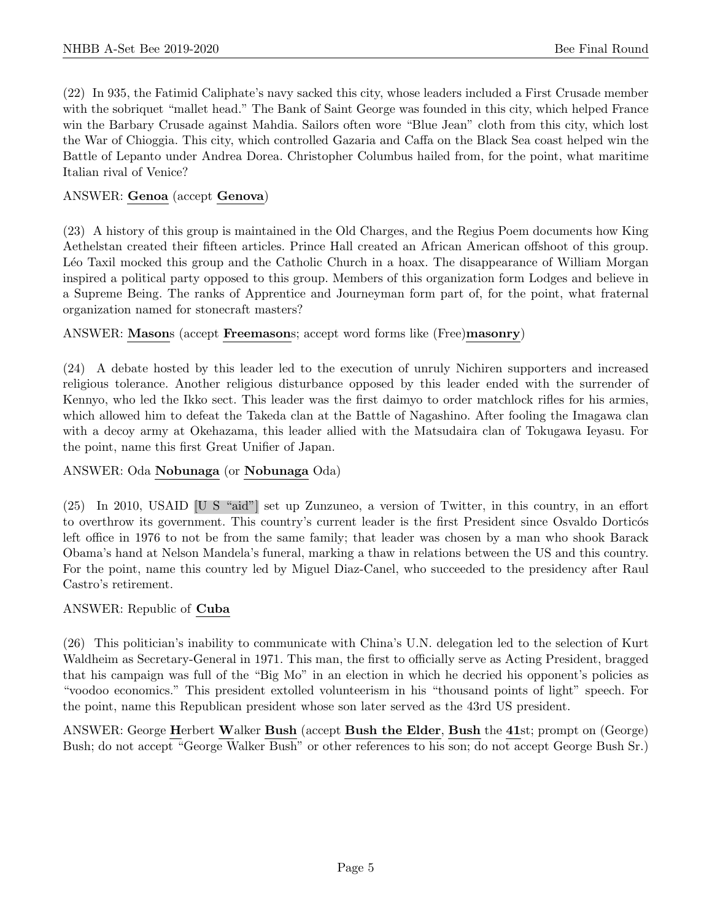(22) In 935, the Fatimid Caliphate's navy sacked this city, whose leaders included a First Crusade member with the sobriquet "mallet head." The Bank of Saint George was founded in this city, which helped France win the Barbary Crusade against Mahdia. Sailors often wore "Blue Jean" cloth from this city, which lost the War of Chioggia. This city, which controlled Gazaria and Caffa on the Black Sea coast helped win the Battle of Lepanto under Andrea Dorea. Christopher Columbus hailed from, for the point, what maritime Italian rival of Venice?

# ANSWER: Genoa (accept Genova)

(23) A history of this group is maintained in the Old Charges, and the Regius Poem documents how King Aethelstan created their fifteen articles. Prince Hall created an African American offshoot of this group. Léo Taxil mocked this group and the Catholic Church in a hoax. The disappearance of William Morgan inspired a political party opposed to this group. Members of this organization form Lodges and believe in a Supreme Being. The ranks of Apprentice and Journeyman form part of, for the point, what fraternal organization named for stonecraft masters?

# ANSWER: Masons (accept Freemasons; accept word forms like (Free)masonry)

(24) A debate hosted by this leader led to the execution of unruly Nichiren supporters and increased religious tolerance. Another religious disturbance opposed by this leader ended with the surrender of Kennyo, who led the Ikko sect. This leader was the first daimyo to order matchlock rifles for his armies, which allowed him to defeat the Takeda clan at the Battle of Nagashino. After fooling the Imagawa clan with a decoy army at Okehazama, this leader allied with the Matsudaira clan of Tokugawa Ieyasu. For the point, name this first Great Unifier of Japan.

# ANSWER: Oda Nobunaga (or Nobunaga Oda)

(25) In 2010, USAID [U S "aid"] set up Zunzuneo, a version of Twitter, in this country, in an effort to overthrow its government. This country's current leader is the first President since Osvaldo Dorticos left office in 1976 to not be from the same family; that leader was chosen by a man who shook Barack Obama's hand at Nelson Mandela's funeral, marking a thaw in relations between the US and this country. For the point, name this country led by Miguel Diaz-Canel, who succeeded to the presidency after Raul Castro's retirement.

# ANSWER: Republic of Cuba

(26) This politician's inability to communicate with China's U.N. delegation led to the selection of Kurt Waldheim as Secretary-General in 1971. This man, the first to officially serve as Acting President, bragged that his campaign was full of the "Big Mo" in an election in which he decried his opponent's policies as "voodoo economics." This president extolled volunteerism in his "thousand points of light" speech. For the point, name this Republican president whose son later served as the 43rd US president.

ANSWER: George Herbert Walker Bush (accept Bush the Elder, Bush the 41st; prompt on (George) Bush; do not accept "George Walker Bush" or other references to his son; do not accept George Bush Sr.)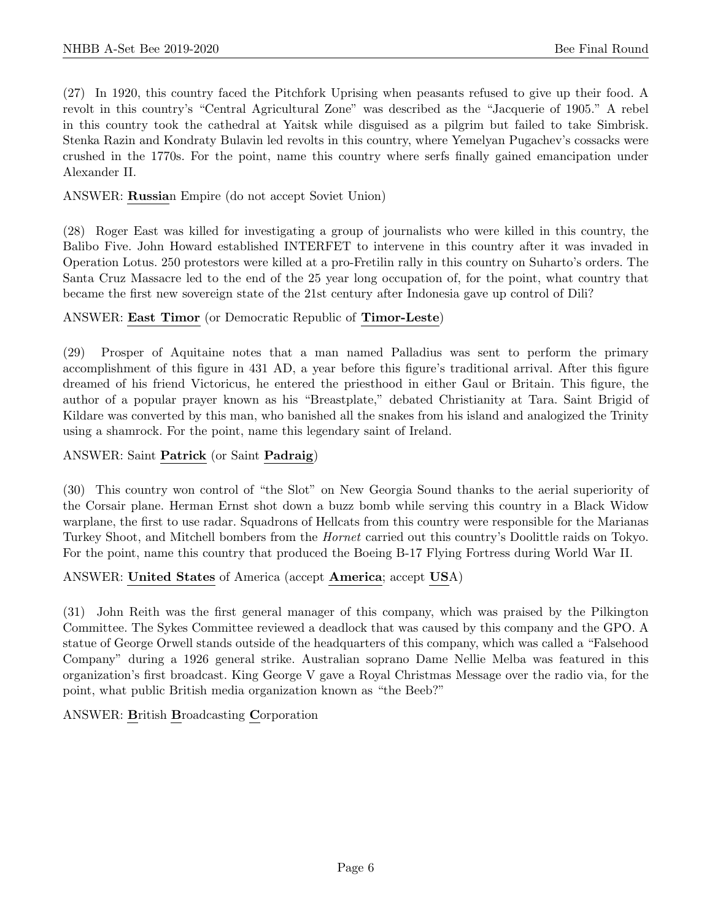(27) In 1920, this country faced the Pitchfork Uprising when peasants refused to give up their food. A revolt in this country's "Central Agricultural Zone" was described as the "Jacquerie of 1905." A rebel in this country took the cathedral at Yaitsk while disguised as a pilgrim but failed to take Simbrisk. Stenka Razin and Kondraty Bulavin led revolts in this country, where Yemelyan Pugachev's cossacks were crushed in the 1770s. For the point, name this country where serfs finally gained emancipation under Alexander II.

# ANSWER: Russian Empire (do not accept Soviet Union)

(28) Roger East was killed for investigating a group of journalists who were killed in this country, the Balibo Five. John Howard established INTERFET to intervene in this country after it was invaded in Operation Lotus. 250 protestors were killed at a pro-Fretilin rally in this country on Suharto's orders. The Santa Cruz Massacre led to the end of the 25 year long occupation of, for the point, what country that became the first new sovereign state of the 21st century after Indonesia gave up control of Dili?

# ANSWER: East Timor (or Democratic Republic of Timor-Leste)

(29) Prosper of Aquitaine notes that a man named Palladius was sent to perform the primary accomplishment of this figure in 431 AD, a year before this figure's traditional arrival. After this figure dreamed of his friend Victoricus, he entered the priesthood in either Gaul or Britain. This figure, the author of a popular prayer known as his "Breastplate," debated Christianity at Tara. Saint Brigid of Kildare was converted by this man, who banished all the snakes from his island and analogized the Trinity using a shamrock. For the point, name this legendary saint of Ireland.

#### ANSWER: Saint Patrick (or Saint Padraig)

(30) This country won control of "the Slot" on New Georgia Sound thanks to the aerial superiority of the Corsair plane. Herman Ernst shot down a buzz bomb while serving this country in a Black Widow warplane, the first to use radar. Squadrons of Hellcats from this country were responsible for the Marianas Turkey Shoot, and Mitchell bombers from the Hornet carried out this country's Doolittle raids on Tokyo. For the point, name this country that produced the Boeing B-17 Flying Fortress during World War II.

#### ANSWER: United States of America (accept America; accept USA)

(31) John Reith was the first general manager of this company, which was praised by the Pilkington Committee. The Sykes Committee reviewed a deadlock that was caused by this company and the GPO. A statue of George Orwell stands outside of the headquarters of this company, which was called a "Falsehood Company" during a 1926 general strike. Australian soprano Dame Nellie Melba was featured in this organization's first broadcast. King George V gave a Royal Christmas Message over the radio via, for the point, what public British media organization known as "the Beeb?"

ANSWER: British Broadcasting Corporation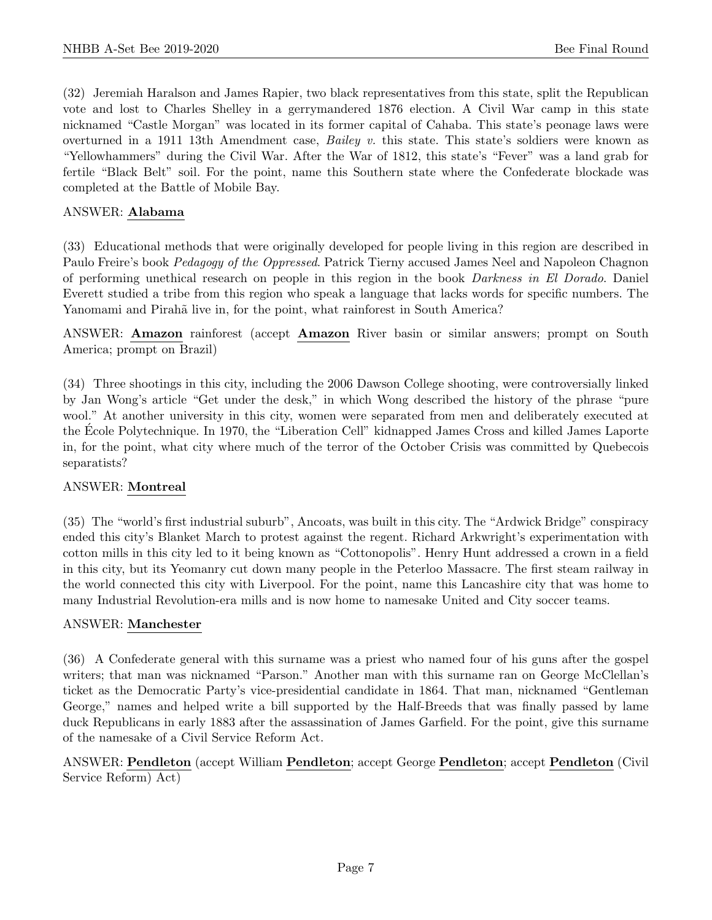(32) Jeremiah Haralson and James Rapier, two black representatives from this state, split the Republican vote and lost to Charles Shelley in a gerrymandered 1876 election. A Civil War camp in this state nicknamed "Castle Morgan" was located in its former capital of Cahaba. This state's peonage laws were overturned in a 1911 13th Amendment case, *Bailey v.* this state. This state's soldiers were known as "Yellowhammers" during the Civil War. After the War of 1812, this state's "Fever" was a land grab for fertile "Black Belt" soil. For the point, name this Southern state where the Confederate blockade was completed at the Battle of Mobile Bay.

# ANSWER: Alabama

(33) Educational methods that were originally developed for people living in this region are described in Paulo Freire's book *Pedagogy of the Oppressed*. Patrick Tierny accused James Neel and Napoleon Chagnon of performing unethical research on people in this region in the book Darkness in El Dorado. Daniel Everett studied a tribe from this region who speak a language that lacks words for specific numbers. The Yanomami and Pirahã live in, for the point, what rainforest in South America?

ANSWER: Amazon rainforest (accept Amazon River basin or similar answers; prompt on South America; prompt on Brazil)

(34) Three shootings in this city, including the 2006 Dawson College shooting, were controversially linked by Jan Wong's article "Get under the desk," in which Wong described the history of the phrase "pure wool." At another university in this city, women were separated from men and deliberately executed at the Ecole Polytechnique. In 1970, the "Liberation Cell" kidnapped James Cross and killed James Laporte ´ in, for the point, what city where much of the terror of the October Crisis was committed by Quebecois separatists?

#### ANSWER: Montreal

(35) The "world's first industrial suburb", Ancoats, was built in this city. The "Ardwick Bridge" conspiracy ended this city's Blanket March to protest against the regent. Richard Arkwright's experimentation with cotton mills in this city led to it being known as "Cottonopolis". Henry Hunt addressed a crown in a field in this city, but its Yeomanry cut down many people in the Peterloo Massacre. The first steam railway in the world connected this city with Liverpool. For the point, name this Lancashire city that was home to many Industrial Revolution-era mills and is now home to namesake United and City soccer teams.

#### ANSWER: Manchester

(36) A Confederate general with this surname was a priest who named four of his guns after the gospel writers; that man was nicknamed "Parson." Another man with this surname ran on George McClellan's ticket as the Democratic Party's vice-presidential candidate in 1864. That man, nicknamed "Gentleman George," names and helped write a bill supported by the Half-Breeds that was finally passed by lame duck Republicans in early 1883 after the assassination of James Garfield. For the point, give this surname of the namesake of a Civil Service Reform Act.

# ANSWER: Pendleton (accept William Pendleton; accept George Pendleton; accept Pendleton (Civil Service Reform) Act)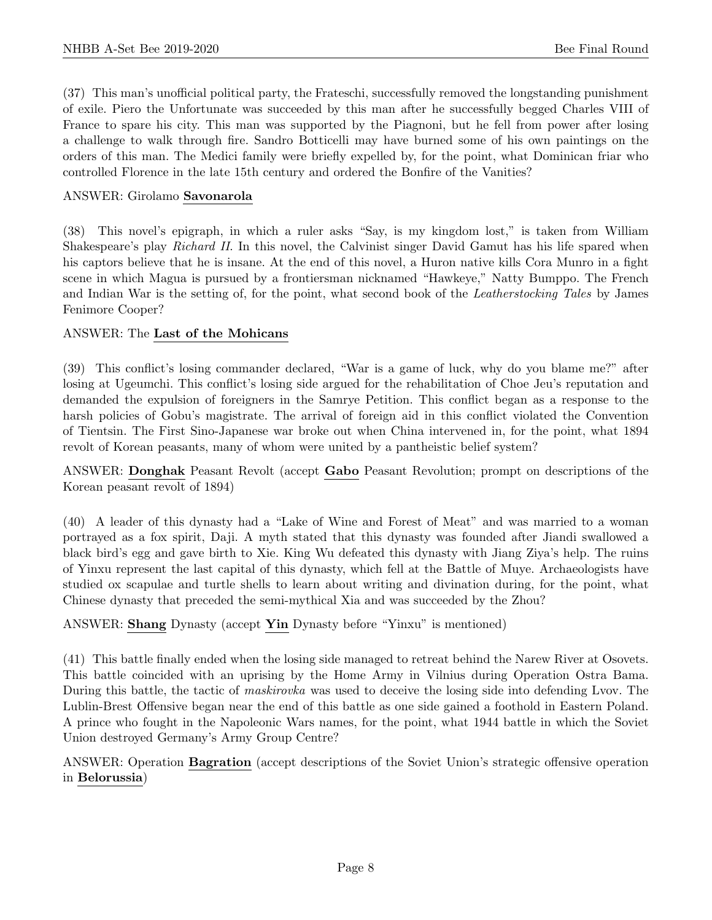(37) This man's unofficial political party, the Frateschi, successfully removed the longstanding punishment of exile. Piero the Unfortunate was succeeded by this man after he successfully begged Charles VIII of France to spare his city. This man was supported by the Piagnoni, but he fell from power after losing a challenge to walk through fire. Sandro Botticelli may have burned some of his own paintings on the orders of this man. The Medici family were briefly expelled by, for the point, what Dominican friar who controlled Florence in the late 15th century and ordered the Bonfire of the Vanities?

# ANSWER: Girolamo Savonarola

(38) This novel's epigraph, in which a ruler asks "Say, is my kingdom lost," is taken from William Shakespeare's play Richard II. In this novel, the Calvinist singer David Gamut has his life spared when his captors believe that he is insane. At the end of this novel, a Huron native kills Cora Munro in a fight scene in which Magua is pursued by a frontiersman nicknamed "Hawkeye," Natty Bumppo. The French and Indian War is the setting of, for the point, what second book of the Leatherstocking Tales by James Fenimore Cooper?

# ANSWER: The Last of the Mohicans

(39) This conflict's losing commander declared, "War is a game of luck, why do you blame me?" after losing at Ugeumchi. This conflict's losing side argued for the rehabilitation of Choe Jeu's reputation and demanded the expulsion of foreigners in the Samrye Petition. This conflict began as a response to the harsh policies of Gobu's magistrate. The arrival of foreign aid in this conflict violated the Convention of Tientsin. The First Sino-Japanese war broke out when China intervened in, for the point, what 1894 revolt of Korean peasants, many of whom were united by a pantheistic belief system?

ANSWER: Donghak Peasant Revolt (accept Gabo Peasant Revolution; prompt on descriptions of the Korean peasant revolt of 1894)

(40) A leader of this dynasty had a "Lake of Wine and Forest of Meat" and was married to a woman portrayed as a fox spirit, Daji. A myth stated that this dynasty was founded after Jiandi swallowed a black bird's egg and gave birth to Xie. King Wu defeated this dynasty with Jiang Ziya's help. The ruins of Yinxu represent the last capital of this dynasty, which fell at the Battle of Muye. Archaeologists have studied ox scapulae and turtle shells to learn about writing and divination during, for the point, what Chinese dynasty that preceded the semi-mythical Xia and was succeeded by the Zhou?

#### ANSWER: Shang Dynasty (accept Yin Dynasty before "Yinxu" is mentioned)

(41) This battle finally ended when the losing side managed to retreat behind the Narew River at Osovets. This battle coincided with an uprising by the Home Army in Vilnius during Operation Ostra Bama. During this battle, the tactic of maskirovka was used to deceive the losing side into defending Lvov. The Lublin-Brest Offensive began near the end of this battle as one side gained a foothold in Eastern Poland. A prince who fought in the Napoleonic Wars names, for the point, what 1944 battle in which the Soviet Union destroyed Germany's Army Group Centre?

ANSWER: Operation Bagration (accept descriptions of the Soviet Union's strategic offensive operation in Belorussia)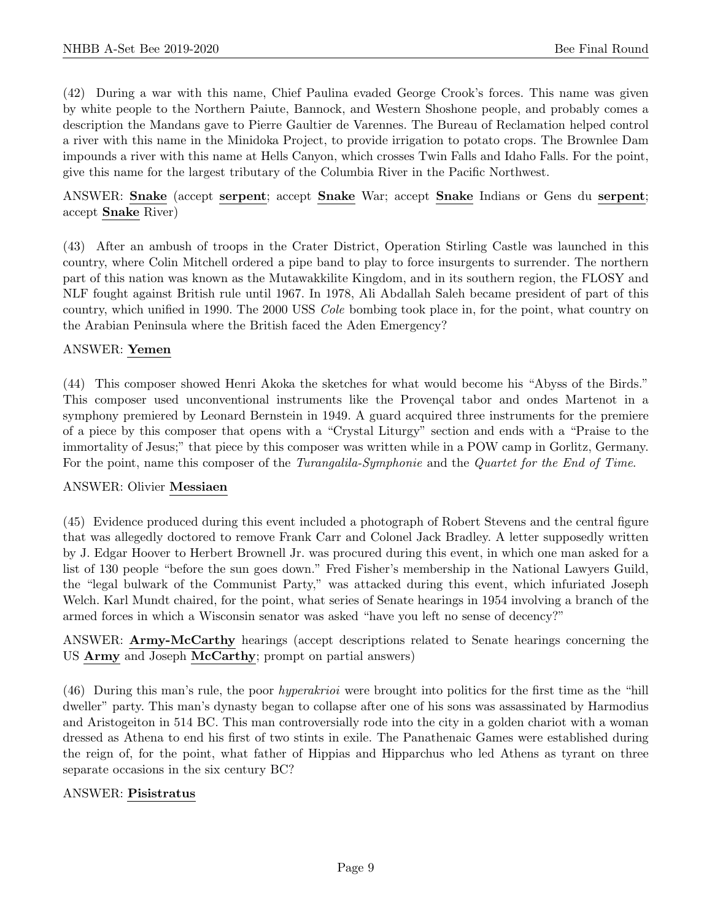(42) During a war with this name, Chief Paulina evaded George Crook's forces. This name was given by white people to the Northern Paiute, Bannock, and Western Shoshone people, and probably comes a description the Mandans gave to Pierre Gaultier de Varennes. The Bureau of Reclamation helped control a river with this name in the Minidoka Project, to provide irrigation to potato crops. The Brownlee Dam impounds a river with this name at Hells Canyon, which crosses Twin Falls and Idaho Falls. For the point, give this name for the largest tributary of the Columbia River in the Pacific Northwest.

ANSWER: Snake (accept serpent; accept Snake War; accept Snake Indians or Gens du serpent; accept Snake River)

(43) After an ambush of troops in the Crater District, Operation Stirling Castle was launched in this country, where Colin Mitchell ordered a pipe band to play to force insurgents to surrender. The northern part of this nation was known as the Mutawakkilite Kingdom, and in its southern region, the FLOSY and NLF fought against British rule until 1967. In 1978, Ali Abdallah Saleh became president of part of this country, which unified in 1990. The 2000 USS Cole bombing took place in, for the point, what country on the Arabian Peninsula where the British faced the Aden Emergency?

# ANSWER: Yemen

(44) This composer showed Henri Akoka the sketches for what would become his "Abyss of the Birds." This composer used unconventional instruments like the Provençal tabor and ondes Martenot in a symphony premiered by Leonard Bernstein in 1949. A guard acquired three instruments for the premiere of a piece by this composer that opens with a "Crystal Liturgy" section and ends with a "Praise to the immortality of Jesus;" that piece by this composer was written while in a POW camp in Gorlitz, Germany. For the point, name this composer of the *Turangalila-Symphonie* and the *Quartet for the End of Time*.

#### ANSWER: Olivier Messiaen

(45) Evidence produced during this event included a photograph of Robert Stevens and the central figure that was allegedly doctored to remove Frank Carr and Colonel Jack Bradley. A letter supposedly written by J. Edgar Hoover to Herbert Brownell Jr. was procured during this event, in which one man asked for a list of 130 people "before the sun goes down." Fred Fisher's membership in the National Lawyers Guild, the "legal bulwark of the Communist Party," was attacked during this event, which infuriated Joseph Welch. Karl Mundt chaired, for the point, what series of Senate hearings in 1954 involving a branch of the armed forces in which a Wisconsin senator was asked "have you left no sense of decency?"

ANSWER: Army-McCarthy hearings (accept descriptions related to Senate hearings concerning the US Army and Joseph McCarthy; prompt on partial answers)

(46) During this man's rule, the poor hyperakrioi were brought into politics for the first time as the "hill dweller" party. This man's dynasty began to collapse after one of his sons was assassinated by Harmodius and Aristogeiton in 514 BC. This man controversially rode into the city in a golden chariot with a woman dressed as Athena to end his first of two stints in exile. The Panathenaic Games were established during the reign of, for the point, what father of Hippias and Hipparchus who led Athens as tyrant on three separate occasions in the six century BC?

#### ANSWER: Pisistratus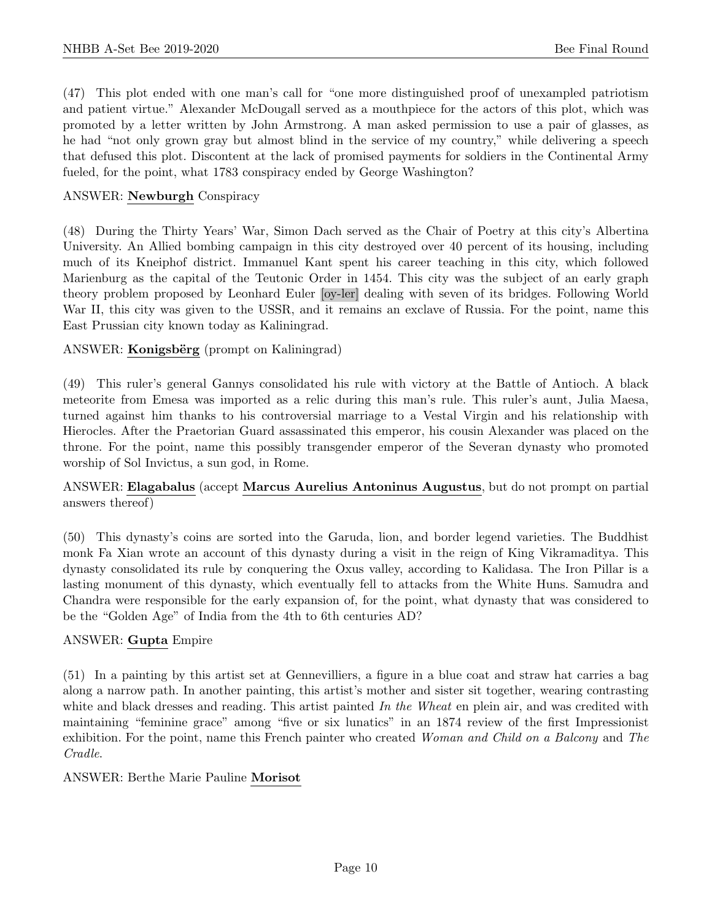(47) This plot ended with one man's call for "one more distinguished proof of unexampled patriotism and patient virtue." Alexander McDougall served as a mouthpiece for the actors of this plot, which was promoted by a letter written by John Armstrong. A man asked permission to use a pair of glasses, as he had "not only grown gray but almost blind in the service of my country," while delivering a speech that defused this plot. Discontent at the lack of promised payments for soldiers in the Continental Army fueled, for the point, what 1783 conspiracy ended by George Washington?

# ANSWER: Newburgh Conspiracy

(48) During the Thirty Years' War, Simon Dach served as the Chair of Poetry at this city's Albertina University. An Allied bombing campaign in this city destroyed over 40 percent of its housing, including much of its Kneiphof district. Immanuel Kant spent his career teaching in this city, which followed Marienburg as the capital of the Teutonic Order in 1454. This city was the subject of an early graph theory problem proposed by Leonhard Euler [oy-ler] dealing with seven of its bridges. Following World War II, this city was given to the USSR, and it remains an exclave of Russia. For the point, name this East Prussian city known today as Kaliningrad.

# ANSWER: Konigsbërg (prompt on Kaliningrad)

(49) This ruler's general Gannys consolidated his rule with victory at the Battle of Antioch. A black meteorite from Emesa was imported as a relic during this man's rule. This ruler's aunt, Julia Maesa, turned against him thanks to his controversial marriage to a Vestal Virgin and his relationship with Hierocles. After the Praetorian Guard assassinated this emperor, his cousin Alexander was placed on the throne. For the point, name this possibly transgender emperor of the Severan dynasty who promoted worship of Sol Invictus, a sun god, in Rome.

# ANSWER: Elagabalus (accept Marcus Aurelius Antoninus Augustus, but do not prompt on partial answers thereof)

(50) This dynasty's coins are sorted into the Garuda, lion, and border legend varieties. The Buddhist monk Fa Xian wrote an account of this dynasty during a visit in the reign of King Vikramaditya. This dynasty consolidated its rule by conquering the Oxus valley, according to Kalidasa. The Iron Pillar is a lasting monument of this dynasty, which eventually fell to attacks from the White Huns. Samudra and Chandra were responsible for the early expansion of, for the point, what dynasty that was considered to be the "Golden Age" of India from the 4th to 6th centuries AD?

#### ANSWER: Gupta Empire

(51) In a painting by this artist set at Gennevilliers, a figure in a blue coat and straw hat carries a bag along a narrow path. In another painting, this artist's mother and sister sit together, wearing contrasting white and black dresses and reading. This artist painted In the Wheat en plein air, and was credited with maintaining "feminine grace" among "five or six lunatics" in an 1874 review of the first Impressionist exhibition. For the point, name this French painter who created Woman and Child on a Balcony and The Cradle.

# ANSWER: Berthe Marie Pauline Morisot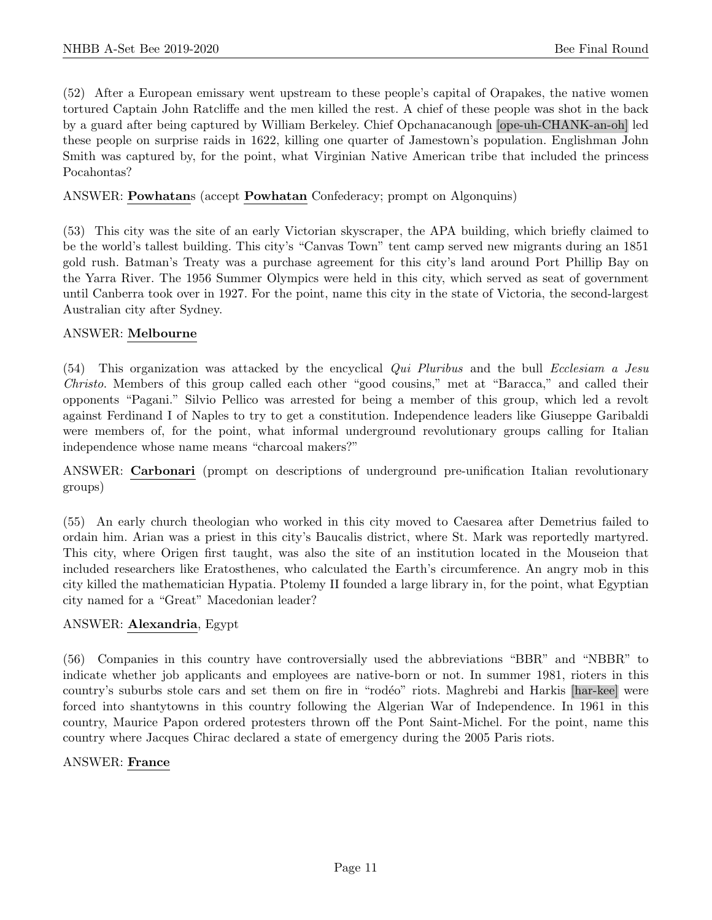(52) After a European emissary went upstream to these people's capital of Orapakes, the native women tortured Captain John Ratcliffe and the men killed the rest. A chief of these people was shot in the back by a guard after being captured by William Berkeley. Chief Opchanacanough [ope-uh-CHANK-an-oh] led these people on surprise raids in 1622, killing one quarter of Jamestown's population. Englishman John Smith was captured by, for the point, what Virginian Native American tribe that included the princess Pocahontas?

# ANSWER: Powhatans (accept Powhatan Confederacy; prompt on Algonquins)

(53) This city was the site of an early Victorian skyscraper, the APA building, which briefly claimed to be the world's tallest building. This city's "Canvas Town" tent camp served new migrants during an 1851 gold rush. Batman's Treaty was a purchase agreement for this city's land around Port Phillip Bay on the Yarra River. The 1956 Summer Olympics were held in this city, which served as seat of government until Canberra took over in 1927. For the point, name this city in the state of Victoria, the second-largest Australian city after Sydney.

#### ANSWER: Melbourne

(54) This organization was attacked by the encyclical Qui Pluribus and the bull Ecclesiam a Jesu Christo. Members of this group called each other "good cousins," met at "Baracca," and called their opponents "Pagani." Silvio Pellico was arrested for being a member of this group, which led a revolt against Ferdinand I of Naples to try to get a constitution. Independence leaders like Giuseppe Garibaldi were members of, for the point, what informal underground revolutionary groups calling for Italian independence whose name means "charcoal makers?"

ANSWER: Carbonari (prompt on descriptions of underground pre-unification Italian revolutionary groups)

(55) An early church theologian who worked in this city moved to Caesarea after Demetrius failed to ordain him. Arian was a priest in this city's Baucalis district, where St. Mark was reportedly martyred. This city, where Origen first taught, was also the site of an institution located in the Mouseion that included researchers like Eratosthenes, who calculated the Earth's circumference. An angry mob in this city killed the mathematician Hypatia. Ptolemy II founded a large library in, for the point, what Egyptian city named for a "Great" Macedonian leader?

#### ANSWER: Alexandria, Egypt

(56) Companies in this country have controversially used the abbreviations "BBR" and "NBBR" to indicate whether job applicants and employees are native-born or not. In summer 1981, rioters in this country's suburbs stole cars and set them on fire in "rodéo" riots. Maghrebi and Harkis [har-kee] were forced into shantytowns in this country following the Algerian War of Independence. In 1961 in this country, Maurice Papon ordered protesters thrown off the Pont Saint-Michel. For the point, name this country where Jacques Chirac declared a state of emergency during the 2005 Paris riots.

#### ANSWER: France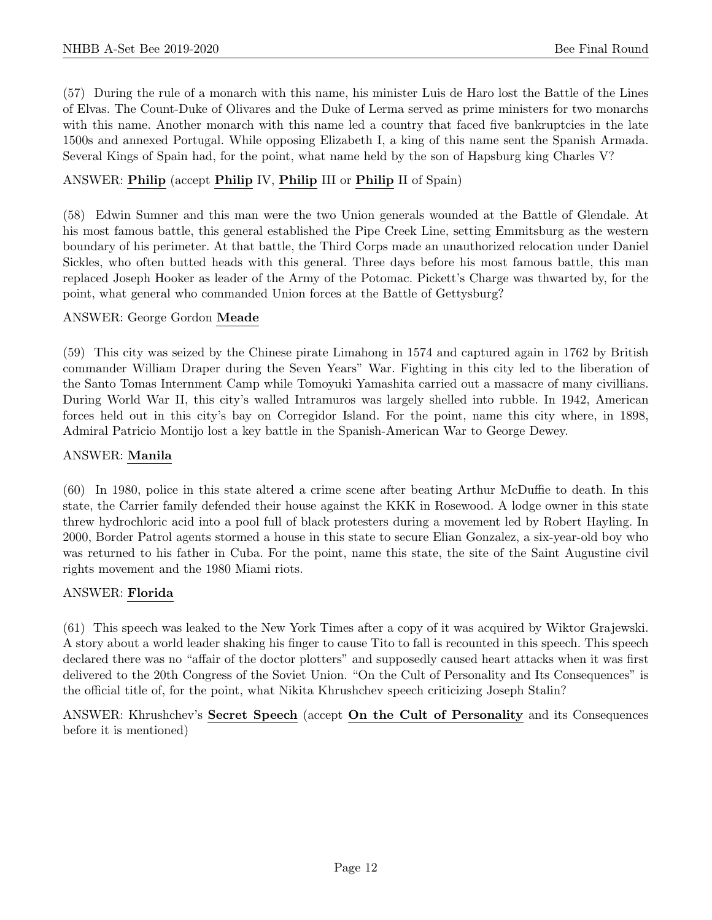(57) During the rule of a monarch with this name, his minister Luis de Haro lost the Battle of the Lines of Elvas. The Count-Duke of Olivares and the Duke of Lerma served as prime ministers for two monarchs with this name. Another monarch with this name led a country that faced five bankruptcies in the late 1500s and annexed Portugal. While opposing Elizabeth I, a king of this name sent the Spanish Armada. Several Kings of Spain had, for the point, what name held by the son of Hapsburg king Charles V?

# ANSWER: Philip (accept Philip IV, Philip III or Philip II of Spain)

(58) Edwin Sumner and this man were the two Union generals wounded at the Battle of Glendale. At his most famous battle, this general established the Pipe Creek Line, setting Emmitsburg as the western boundary of his perimeter. At that battle, the Third Corps made an unauthorized relocation under Daniel Sickles, who often butted heads with this general. Three days before his most famous battle, this man replaced Joseph Hooker as leader of the Army of the Potomac. Pickett's Charge was thwarted by, for the point, what general who commanded Union forces at the Battle of Gettysburg?

# ANSWER: George Gordon Meade

(59) This city was seized by the Chinese pirate Limahong in 1574 and captured again in 1762 by British commander William Draper during the Seven Years" War. Fighting in this city led to the liberation of the Santo Tomas Internment Camp while Tomoyuki Yamashita carried out a massacre of many civillians. During World War II, this city's walled Intramuros was largely shelled into rubble. In 1942, American forces held out in this city's bay on Corregidor Island. For the point, name this city where, in 1898, Admiral Patricio Montijo lost a key battle in the Spanish-American War to George Dewey.

# ANSWER: Manila

(60) In 1980, police in this state altered a crime scene after beating Arthur McDuffie to death. In this state, the Carrier family defended their house against the KKK in Rosewood. A lodge owner in this state threw hydrochloric acid into a pool full of black protesters during a movement led by Robert Hayling. In 2000, Border Patrol agents stormed a house in this state to secure Elian Gonzalez, a six-year-old boy who was returned to his father in Cuba. For the point, name this state, the site of the Saint Augustine civil rights movement and the 1980 Miami riots.

#### ANSWER: Florida

(61) This speech was leaked to the New York Times after a copy of it was acquired by Wiktor Grajewski. A story about a world leader shaking his finger to cause Tito to fall is recounted in this speech. This speech declared there was no "affair of the doctor plotters" and supposedly caused heart attacks when it was first delivered to the 20th Congress of the Soviet Union. "On the Cult of Personality and Its Consequences" is the official title of, for the point, what Nikita Khrushchev speech criticizing Joseph Stalin?

ANSWER: Khrushchev's Secret Speech (accept On the Cult of Personality and its Consequences before it is mentioned)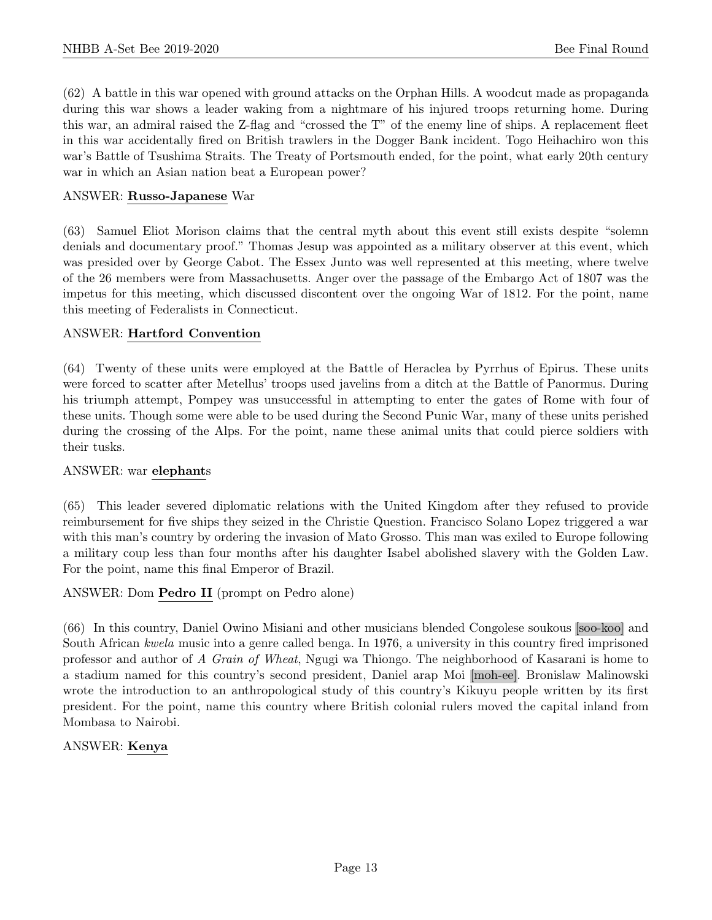(62) A battle in this war opened with ground attacks on the Orphan Hills. A woodcut made as propaganda during this war shows a leader waking from a nightmare of his injured troops returning home. During this war, an admiral raised the Z-flag and "crossed the T" of the enemy line of ships. A replacement fleet in this war accidentally fired on British trawlers in the Dogger Bank incident. Togo Heihachiro won this war's Battle of Tsushima Straits. The Treaty of Portsmouth ended, for the point, what early 20th century war in which an Asian nation beat a European power?

# ANSWER: Russo-Japanese War

(63) Samuel Eliot Morison claims that the central myth about this event still exists despite "solemn denials and documentary proof." Thomas Jesup was appointed as a military observer at this event, which was presided over by George Cabot. The Essex Junto was well represented at this meeting, where twelve of the 26 members were from Massachusetts. Anger over the passage of the Embargo Act of 1807 was the impetus for this meeting, which discussed discontent over the ongoing War of 1812. For the point, name this meeting of Federalists in Connecticut.

# ANSWER: Hartford Convention

(64) Twenty of these units were employed at the Battle of Heraclea by Pyrrhus of Epirus. These units were forced to scatter after Metellus' troops used javelins from a ditch at the Battle of Panormus. During his triumph attempt, Pompey was unsuccessful in attempting to enter the gates of Rome with four of these units. Though some were able to be used during the Second Punic War, many of these units perished during the crossing of the Alps. For the point, name these animal units that could pierce soldiers with their tusks.

#### ANSWER: war elephants

(65) This leader severed diplomatic relations with the United Kingdom after they refused to provide reimbursement for five ships they seized in the Christie Question. Francisco Solano Lopez triggered a war with this man's country by ordering the invasion of Mato Grosso. This man was exiled to Europe following a military coup less than four months after his daughter Isabel abolished slavery with the Golden Law. For the point, name this final Emperor of Brazil.

# ANSWER: Dom Pedro II (prompt on Pedro alone)

(66) In this country, Daniel Owino Misiani and other musicians blended Congolese soukous [soo-koo] and South African kwela music into a genre called benga. In 1976, a university in this country fired imprisoned professor and author of A Grain of Wheat, Ngugi wa Thiongo. The neighborhood of Kasarani is home to a stadium named for this country's second president, Daniel arap Moi [moh-ee]. Bronislaw Malinowski wrote the introduction to an anthropological study of this country's Kikuyu people written by its first president. For the point, name this country where British colonial rulers moved the capital inland from Mombasa to Nairobi.

#### ANSWER: Kenya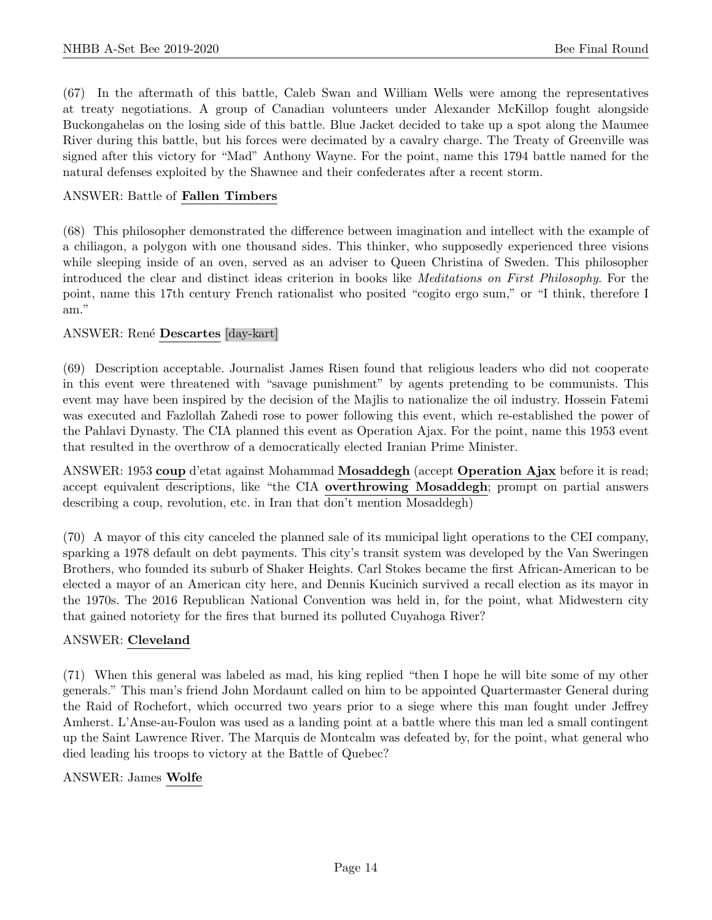(67) In the aftermath of this battle, Caleb Swan and William Wells were among the representatives at treaty negotiations. A group of Canadian volunteers under Alexander McKillop fought alongside Buckongahelas on the losing side of this battle. Blue Jacket decided to take up a spot along the Maumee River during this battle, but his forces were decimated by a cavalry charge. The Treaty of Greenville was signed after this victory for "Mad" Anthony Wayne. For the point, name this 1794 battle named for the natural defenses exploited by the Shawnee and their confederates after a recent storm.

# ANSWER: Battle of Fallen Timbers

(68) This philosopher demonstrated the difference between imagination and intellect with the example of a chiliagon, a polygon with one thousand sides. This thinker, who supposedly experienced three visions while sleeping inside of an oven, served as an adviser to Queen Christina of Sweden. This philosopher introduced the clear and distinct ideas criterion in books like Meditations on First Philosophy. For the point, name this 17th century French rationalist who posited "cogito ergo sum," or "I think, therefore I am."

# ANSWER: René Descartes [day-kart]

(69) Description acceptable. Journalist James Risen found that religious leaders who did not cooperate in this event were threatened with "savage punishment" by agents pretending to be communists. This event may have been inspired by the decision of the Majlis to nationalize the oil industry. Hossein Fatemi was executed and Fazlollah Zahedi rose to power following this event, which re-established the power of the Pahlavi Dynasty. The CIA planned this event as Operation Ajax. For the point, name this 1953 event that resulted in the overthrow of a democratically elected Iranian Prime Minister.

ANSWER: 1953 coup d'etat against Mohammad Mosaddegh (accept Operation Ajax before it is read; accept equivalent descriptions, like "the CIA overthrowing Mosaddegh; prompt on partial answers describing a coup, revolution, etc. in Iran that don't mention Mosaddegh)

(70) A mayor of this city canceled the planned sale of its municipal light operations to the CEI company, sparking a 1978 default on debt payments. This city's transit system was developed by the Van Sweringen Brothers, who founded its suburb of Shaker Heights. Carl Stokes became the first African-American to be elected a mayor of an American city here, and Dennis Kucinich survived a recall election as its mayor in the 1970s. The 2016 Republican National Convention was held in, for the point, what Midwestern city that gained notoriety for the fires that burned its polluted Cuyahoga River?

#### ANSWER: Cleveland

(71) When this general was labeled as mad, his king replied "then I hope he will bite some of my other generals." This man's friend John Mordaunt called on him to be appointed Quartermaster General during the Raid of Rochefort, which occurred two years prior to a siege where this man fought under Jeffrey Amherst. L'Anse-au-Foulon was used as a landing point at a battle where this man led a small contingent up the Saint Lawrence River. The Marquis de Montcalm was defeated by, for the point, what general who died leading his troops to victory at the Battle of Quebec?

#### ANSWER: James Wolfe